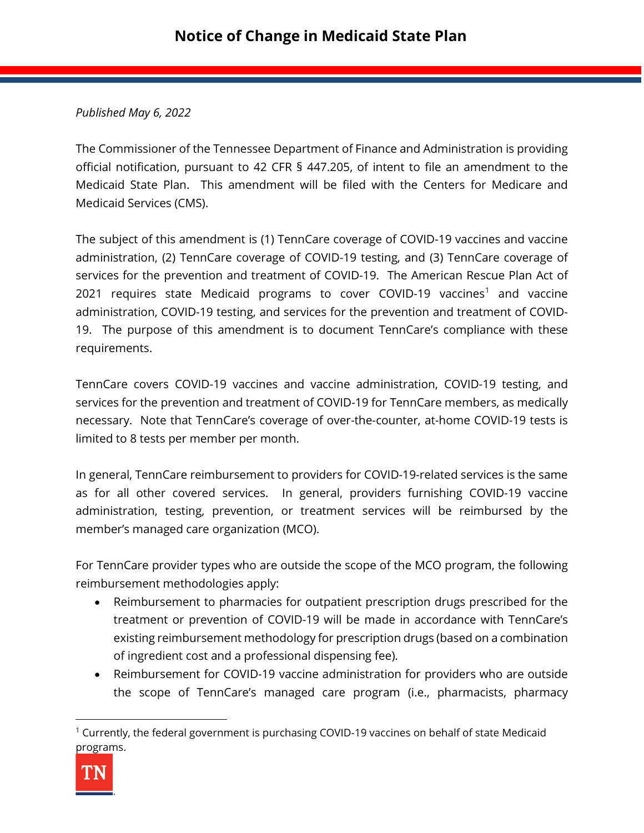## *Published May 6, 2022*

The Commissioner of the Tennessee Department of Finance and Administration is providing official notification, pursuant to 42 CFR § 447.205, of intent to file an amendment to the Medicaid State Plan. This amendment will be filed with the Centers for Medicare and Medicaid Services (CMS).

The subject of this amendment is (1) TennCare coverage of COVID-19 vaccines and vaccine administration, (2) TennCare coverage of COVID-19 testing, and (3) TennCare coverage of services for the prevention and treatment of COVID-19. The American Rescue Plan Act of 202[1](#page-0-0) requires state Medicaid programs to cover COVID-19 vaccines<sup>1</sup> and vaccine administration, COVID-19 testing, and services for the prevention and treatment of COVID-19. The purpose of this amendment is to document TennCare's compliance with these requirements.

TennCare covers COVID-19 vaccines and vaccine administration, COVID-19 testing, and services for the prevention and treatment of COVID-19 for TennCare members, as medically necessary. Note that TennCare's coverage of over-the-counter, at-home COVID-19 tests is limited to 8 tests per member per month.

In general, TennCare reimbursement to providers for COVID-19-related services is the same as for all other covered services. In general, providers furnishing COVID-19 vaccine administration, testing, prevention, or treatment services will be reimbursed by the member's managed care organization (MCO).

For TennCare provider types who are outside the scope of the MCO program, the following reimbursement methodologies apply:

- Reimbursement to pharmacies for outpatient prescription drugs prescribed for the treatment or prevention of COVID-19 will be made in accordance with TennCare's existing reimbursement methodology for prescription drugs (based on a combination of ingredient cost and a professional dispensing fee).
- Reimbursement for COVID-19 vaccine administration for providers who are outside the scope of TennCare's managed care program (i.e., pharmacists, pharmacy

<span id="page-0-0"></span><sup>1</sup> Currently, the federal government is purchasing COVID-19 vaccines on behalf of state Medicaid programs.